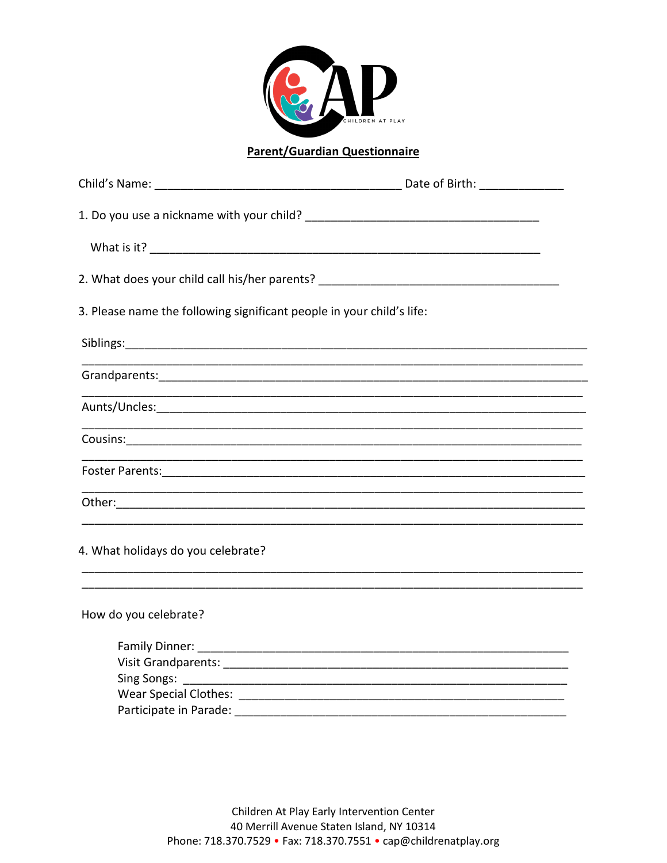

## **Parent/Guardian Questionnaire**

| 2. What does your child call his/her parents? __________________________________ |
|----------------------------------------------------------------------------------|
| 3. Please name the following significant people in your child's life:            |
|                                                                                  |
|                                                                                  |
|                                                                                  |
|                                                                                  |
|                                                                                  |
|                                                                                  |
|                                                                                  |
|                                                                                  |
|                                                                                  |
|                                                                                  |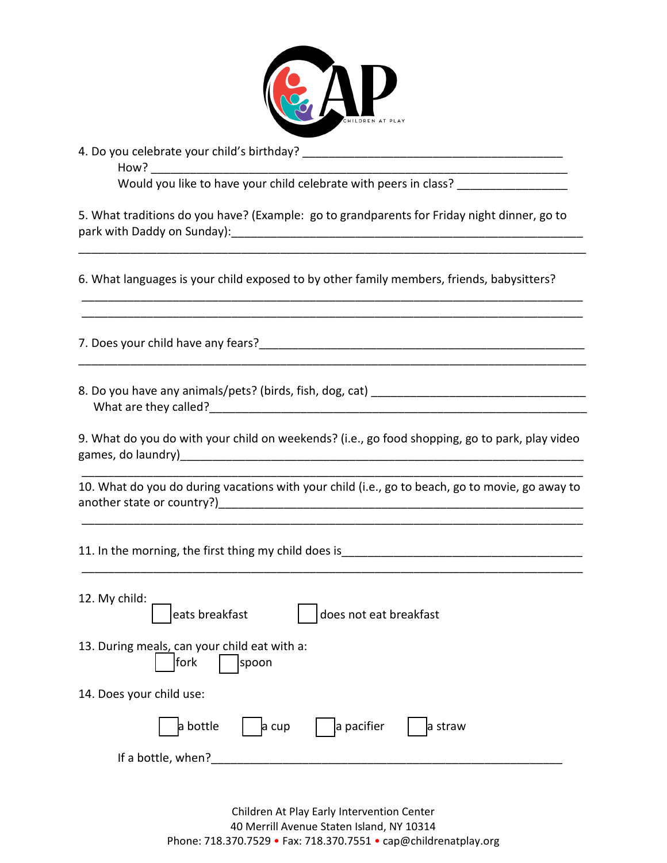

4. Do you celebrate your child's birthday?

| How?<br><u> 1989 - Johann Stoff, deutscher Stoff, der Stoff, der Stoff, der Stoff, der Stoff, der Stoff, der Stoff, der S</u> |
|-------------------------------------------------------------------------------------------------------------------------------|
| Would you like to have your child celebrate with peers in class? _______________                                              |
| 5. What traditions do you have? (Example: go to grandparents for Friday night dinner, go to                                   |
| 6. What languages is your child exposed to by other family members, friends, babysitters?                                     |
|                                                                                                                               |
|                                                                                                                               |
| 9. What do you do with your child on weekends? (i.e., go food shopping, go to park, play video                                |
| 10. What do you do during vacations with your child (i.e., go to beach, go to movie, go away to                               |
| 11. In the morning, the first thing my child does is<br>11. In the morning, the first thing my child does is<br>1.            |
| 12. My child:<br>eats breakfast<br>does not eat breakfast                                                                     |
| 13. During meals, can your child eat with a:<br>fork<br>spoon                                                                 |
| 14. Does your child use:                                                                                                      |
| a bottle<br>a pacifier<br>a cup<br>a straw                                                                                    |
| If a bottle, when?                                                                                                            |

Children At Play Early Intervention Center 40 Merrill Avenue Staten Island, NY 10314 Phone: 718.370.7529 • Fax: 718.370.7551 • cap@childrenatplay.org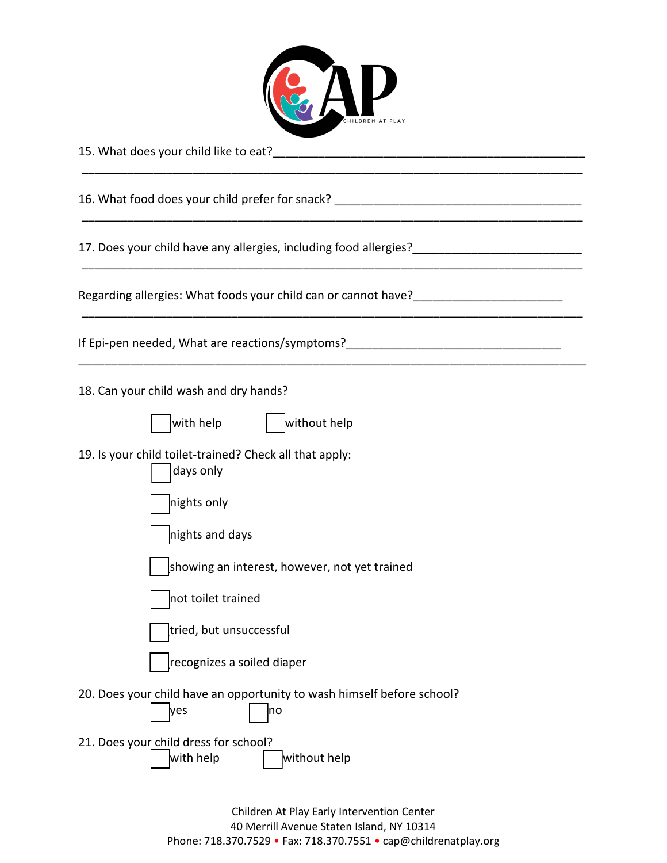

\_\_\_\_\_\_\_\_\_\_\_\_\_\_\_\_\_\_\_\_\_\_\_\_\_\_\_\_\_\_\_\_\_\_\_\_\_\_\_\_\_\_\_\_\_\_\_\_\_\_\_\_\_\_\_\_\_\_\_\_\_\_\_\_\_\_\_\_\_\_\_\_\_\_\_\_\_

\_\_\_\_\_\_\_\_\_\_\_\_\_\_\_\_\_\_\_\_\_\_\_\_\_\_\_\_\_\_\_\_\_\_\_\_\_\_\_\_\_\_\_\_\_\_\_\_\_\_\_\_\_\_\_\_\_\_\_\_\_\_\_\_\_\_\_\_\_\_\_\_\_\_\_\_\_

\_\_\_\_\_\_\_\_\_\_\_\_\_\_\_\_\_\_\_\_\_\_\_\_\_\_\_\_\_\_\_\_\_\_\_\_\_\_\_\_\_\_\_\_\_\_\_\_\_\_\_\_\_\_\_\_\_\_\_\_\_\_\_\_\_\_\_\_\_\_\_\_\_\_\_\_\_

\_\_\_\_\_\_\_\_\_\_\_\_\_\_\_\_\_\_\_\_\_\_\_\_\_\_\_\_\_\_\_\_\_\_\_\_\_\_\_\_\_\_\_\_\_\_\_\_\_\_\_\_\_\_\_\_\_\_\_\_\_\_\_\_\_\_\_\_\_\_\_\_\_\_\_\_\_

\_\_\_\_\_\_\_\_\_\_\_\_\_\_\_\_\_\_\_\_\_\_\_\_\_\_\_\_\_\_\_\_\_\_\_\_\_\_\_\_\_\_\_\_\_\_\_\_\_\_\_\_\_\_\_\_\_\_\_\_\_\_\_\_\_\_\_\_\_\_\_\_\_\_\_\_\_\_

15. What does your child like to eat?\_\_\_\_\_\_\_\_\_\_\_\_\_\_\_\_\_\_\_\_\_\_\_\_\_\_\_\_\_\_\_\_\_\_\_\_\_\_\_\_\_\_\_\_\_\_\_\_

16. What food does your child prefer for snack?

17. Does your child have any allergies, including food allergies?\_\_\_\_\_\_\_\_\_\_\_\_\_\_\_\_\_\_\_\_\_\_\_\_\_\_

Regarding allergies: What foods your child can or cannot have?

If Epi-pen needed, What are reactions/symptoms?

18. Can your child wash and dry hands?

|  | lwith h |  |
|--|---------|--|
|--|---------|--|

 $_{\rm lelp}$   $_{\rm |}$  without help

19. Is your child toilet-trained? Check all that apply:

|  | days only |  |
|--|-----------|--|
|--|-----------|--|

nights only

nights and days

showing an interest, however, not yet trained

not toilet trained

tried, but unsuccessful

\_\_recognizes a soiled diaper

- 20. Does your child have an opportunity to wash himself before school?
- $|yes$   $|$   $|no$ 21. Does your child dress for school?  $\frac{1}{2}$  with help  $\frac{1}{2}$  without help

Children At Play Early Intervention Center 40 Merrill Avenue Staten Island, NY 10314 Phone: 718.370.7529 • Fax: 718.370.7551 • cap@childrenatplay.org